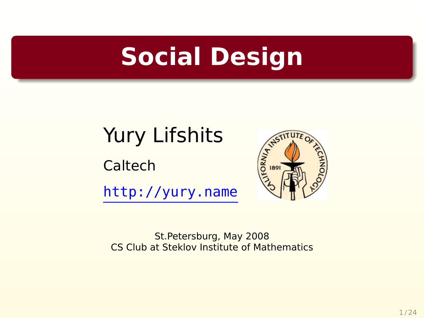#### **Social Design**

#### Yury Lifshits

Caltech

<http://yury.name>



St.Petersburg, May 2008 CS Club at Steklov Institute of Mathematics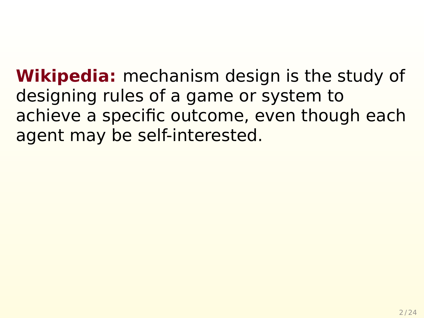**Wikipedia:** mechanism design is the study of designing rules of a game or system to achieve a specific outcome, even though each agent may be self-interested.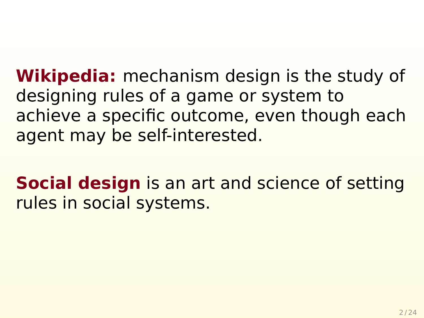**Wikipedia:** mechanism design is the study of designing rules of a game or system to achieve a specific outcome, even though each agent may be self-interested.

**Social design** is an art and science of setting rules in social systems.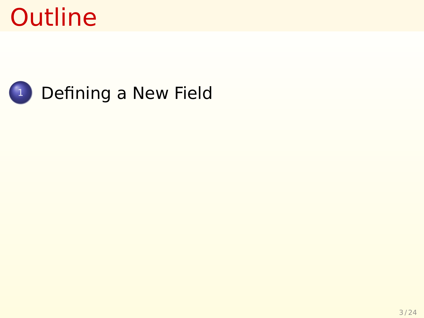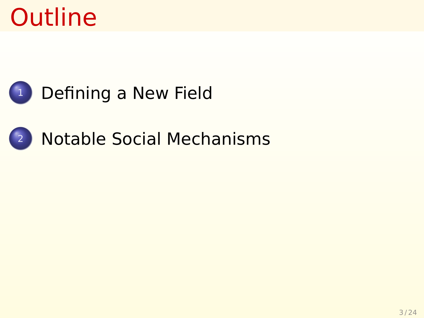

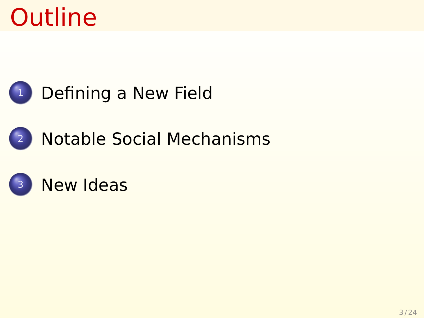

#### <sup>1</sup> [Defining a New Field](#page-7-0)

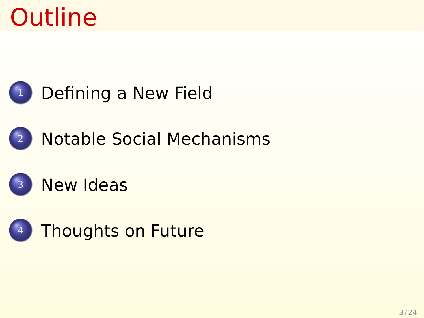

[Defining a New Field](#page-7-0)





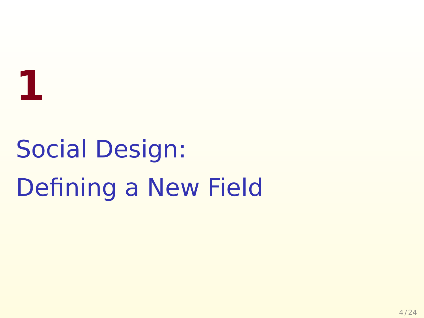

## <span id="page-7-0"></span>Social Design: Defining a New Field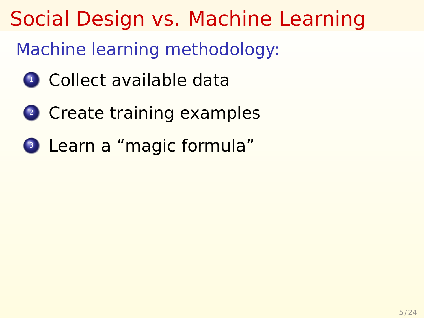#### Social Design vs. Machine Learning

Machine learning methodology:

- <sup>1</sup> Collect available data
- <sup>2</sup> Create training examples
- <sup>3</sup> Learn a "magic formula"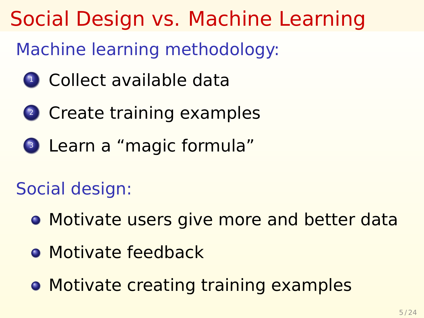#### Social Design vs. Machine Learning

Machine learning methodology:

- <sup>1</sup> Collect available data
- <sup>2</sup> Create training examples
- <sup>3</sup> Learn a "magic formula"

#### Social design:

- **Motivate users give more and better data**
- **Motivate feedback**
- **Motivate creating training examples**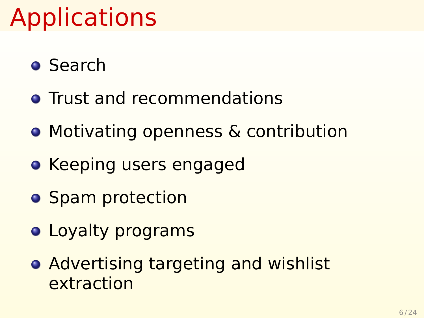### Applications

- Search
- **Trust and recommendations**
- **Motivating openness & contribution**
- **Keeping users engaged**
- **•** Spam protection
- **Loyalty programs**
- **Advertising targeting and wishlist** extraction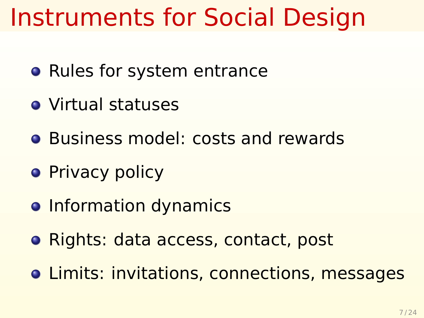#### Instruments for Social Design

- Rules for system entrance
- Virtual statuses
- **Business model: costs and rewards**
- **•** Privacy policy
- **Information dynamics**
- **Rights: data access, contact, post**
- **.** Limits: invitations, connections, messages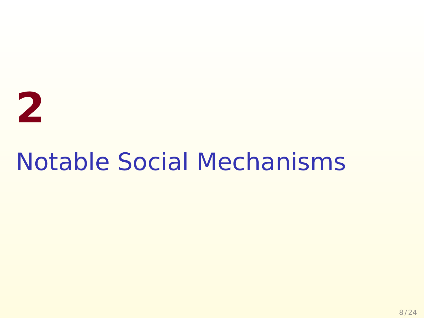# <span id="page-12-0"></span>**2**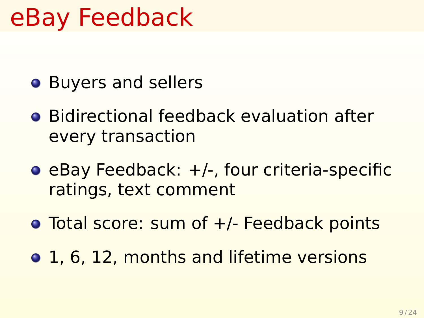#### eBay Feedback

- **•** Buyers and sellers
- **•** Bidirectional feedback evaluation after every transaction
- $\bullet$  eBay Feedback:  $+/-$ , four criteria-specific ratings, text comment
- **•** Total score: sum of +/- Feedback points
- 1, 6, 12, months and lifetime versions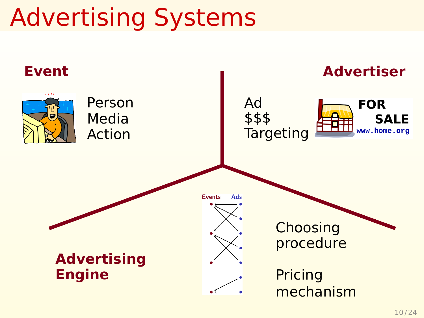### Advertising Systems

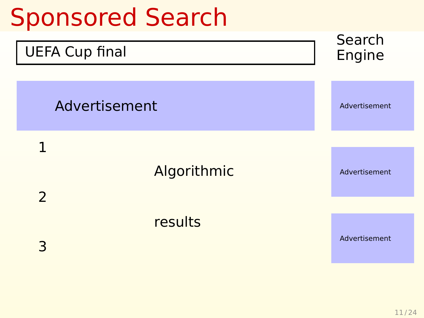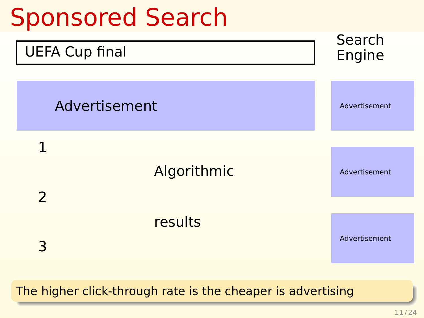

The higher click-through rate is the cheaper is advertising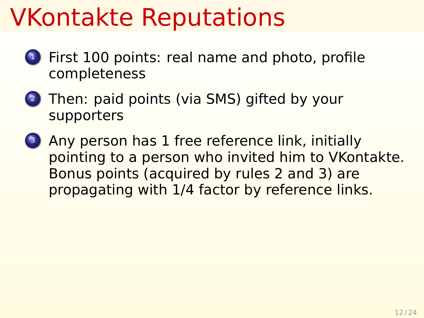#### VKontakte Reputations

- First 100 points: real name and photo, profile completeness
- <sup>2</sup> Then: paid points (via SMS) gifted by your supporters
- Any person has 1 free reference link, initially pointing to a person who invited him to VKontakte. Bonus points (acquired by rules 2 and 3) are propagating with 1/4 factor by reference links.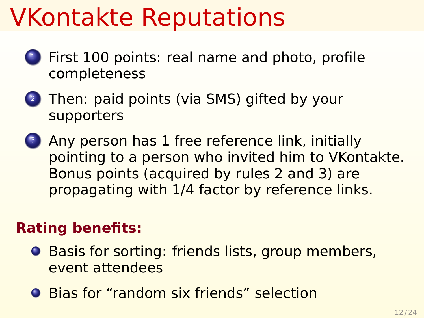#### VKontakte Reputations

- <sup>1</sup> First 100 points: real name and photo, profile completeness
- <sup>2</sup> Then: paid points (via SMS) gifted by your supporters
- Any person has 1 free reference link, initially pointing to a person who invited him to VKontakte. Bonus points (acquired by rules 2 and 3) are propagating with 1/4 factor by reference links.

#### **Rating benefits:**

- **Basis for sorting: friends lists, group members,** event attendees
- **Bias for "random six friends" selection**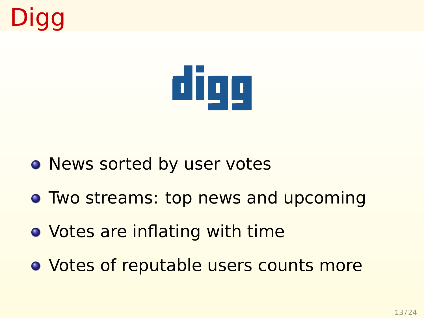## Digg



- News sorted by user votes
- **Two streams: top news and upcoming**
- Votes are inflating with time
- Votes of reputable users counts more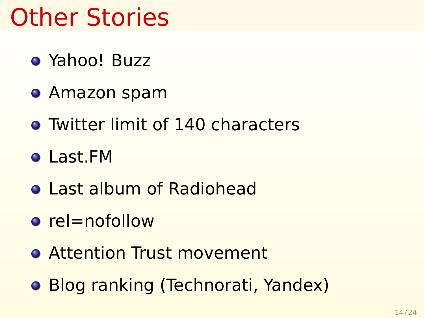#### Other Stories

- Yahoo! Buzz
- Amazon spam
- **Twitter limit of 140 characters**
- Last.FM
- **o** Last album of Radiohead
- $\bullet$  rel=nofollow
- **Attention Trust movement**
- **Blog ranking (Technorati, Yandex)**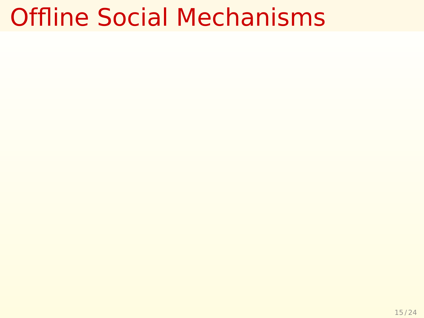#### Offline Social Mechanisms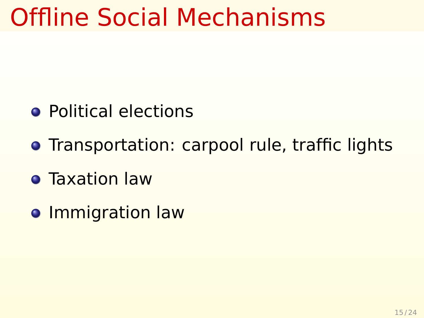#### Offline Social Mechanisms

- **Political elections**
- **Transportation: carpool rule, traffic lights**
- **Taxation law**
- **o** Immigration law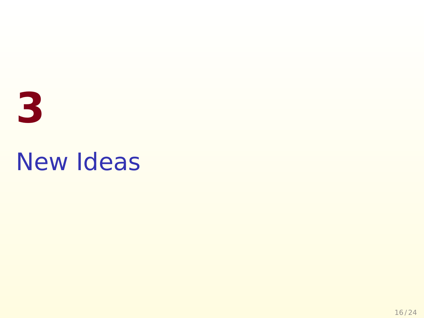# <span id="page-23-0"></span>**3** New Ideas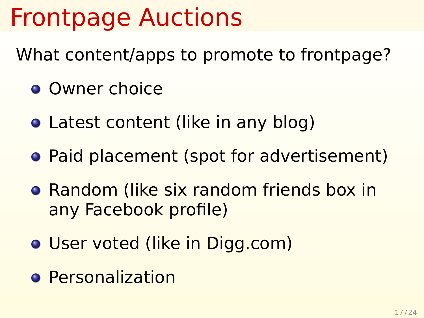### Frontpage Auctions

What content/apps to promote to frontpage?

- **O** Owner choice
- Latest content (like in any blog)
- Paid placement (spot for advertisement)
- **Random (like six random friends box in** any Facebook profile)
- **User voted (like in Digg.com)**
- **o** Personalization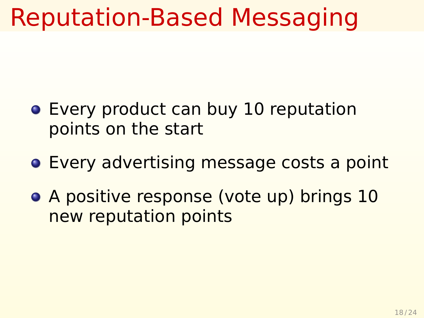#### Reputation-Based Messaging

- **Every product can buy 10 reputation** points on the start
- **Every advertising message costs a point**
- A positive response (vote up) brings 10 new reputation points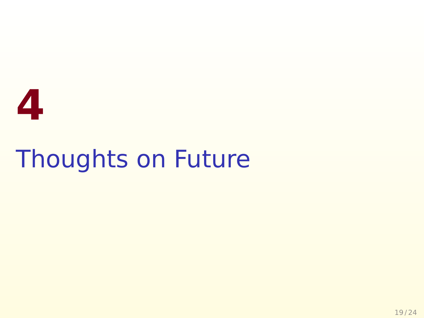# <span id="page-26-0"></span>**4** Thoughts on Future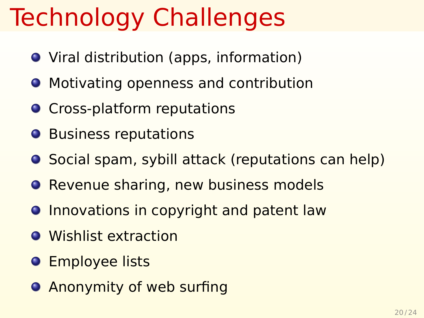### Technology Challenges

- Viral distribution (apps, information)
- **Motivating openness and contribution**
- **O** Cross-platform reputations
- **Business reputations**
- **O** Social spam, sybill attack (reputations can help)
- **Revenue sharing, new business models**
- **O** Innovations in copyright and patent law
- **•** Wishlist extraction
- **O** Employee lists
- **Anonymity of web surfing**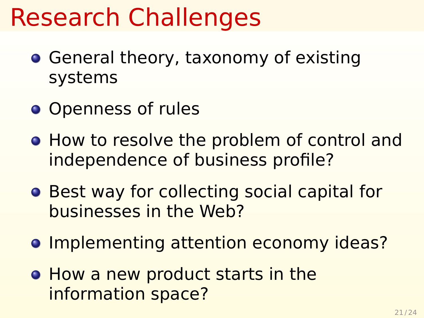#### Research Challenges

- **General theory, taxonomy of existing** systems
- **Openness of rules**
- **How to resolve the problem of control and** independence of business profile?
- **Best way for collecting social capital for** businesses in the Web?
- **Implementing attention economy ideas?**
- How a new product starts in the information space?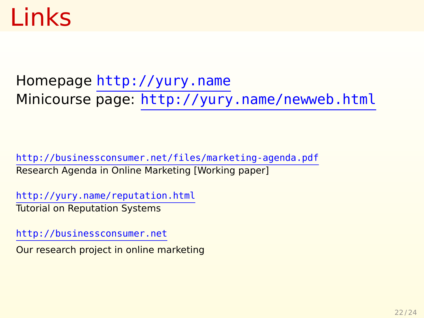#### Links

Homepage <http://yury.name> Minicourse page: <http://yury.name/newweb.html>

<http://businessconsumer.net/files/marketing-agenda.pdf> Research Agenda in Online Marketing [Working paper]

<http://yury.name/reputation.html> Tutorial on Reputation Systems

<http://businessconsumer.net>

Our research project in online marketing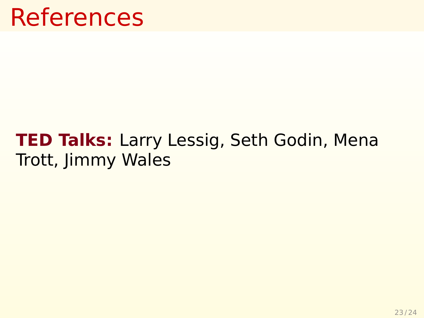#### References

#### **TED Talks:** Larry Lessig, Seth Godin, Mena Trott, Jimmy Wales